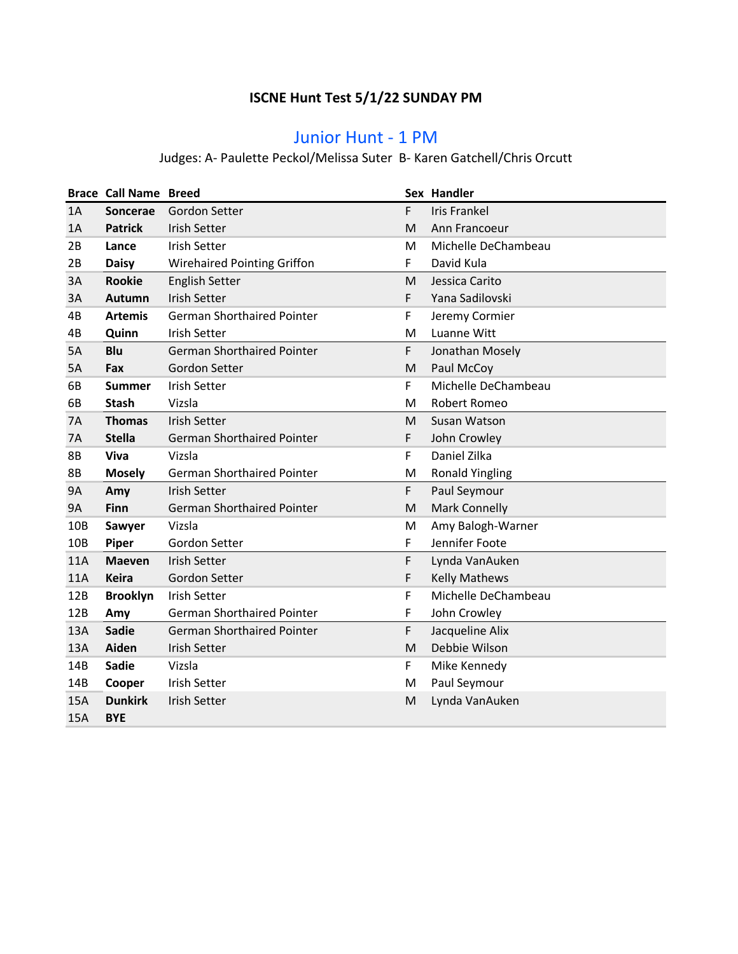## **ISCNE Hunt Test 5/1/22 SUNDAY PM**

## Junior Hunt - 1 PM

#### Judges: A- Paulette Peckol/Melissa Suter B- Karen Gatchell/Chris Orcutt

|                 | <b>Brace Call Name Breed</b> |                                    |    | Sex Handler            |
|-----------------|------------------------------|------------------------------------|----|------------------------|
| 1A              | Soncerae                     | Gordon Setter                      | F. | <b>Iris Frankel</b>    |
| 1A              | <b>Patrick</b>               | <b>Irish Setter</b>                | M  | Ann Francoeur          |
| 2B              | Lance                        | <b>Irish Setter</b>                | м  | Michelle DeChambeau    |
| 2B              | <b>Daisy</b>                 | <b>Wirehaired Pointing Griffon</b> | F  | David Kula             |
| 3A              | <b>Rookie</b>                | <b>English Setter</b>              | M  | Jessica Carito         |
| 3A              | Autumn                       | <b>Irish Setter</b>                | F. | Yana Sadilovski        |
| 4B              | <b>Artemis</b>               | <b>German Shorthaired Pointer</b>  | F  | Jeremy Cormier         |
| 4B              | Quinn                        | <b>Irish Setter</b>                | M  | Luanne Witt            |
| 5A              | Blu                          | <b>German Shorthaired Pointer</b>  | F  | Jonathan Mosely        |
| 5A              | Fax                          | Gordon Setter                      | M  | Paul McCoy             |
| 6B              | <b>Summer</b>                | <b>Irish Setter</b>                | F  | Michelle DeChambeau    |
| 6B              | <b>Stash</b>                 | Vizsla                             | M  | Robert Romeo           |
| 7A              | <b>Thomas</b>                | <b>Irish Setter</b>                | M  | Susan Watson           |
| 7A              | <b>Stella</b>                | <b>German Shorthaired Pointer</b>  | F  | John Crowley           |
| 8B              | Viva                         | Vizsla                             | F  | Daniel Zilka           |
| <b>8B</b>       | <b>Mosely</b>                | <b>German Shorthaired Pointer</b>  | M  | <b>Ronald Yingling</b> |
| <b>9A</b>       | Amy                          | <b>Irish Setter</b>                | F  | Paul Seymour           |
| <b>9A</b>       | Finn                         | <b>German Shorthaired Pointer</b>  | M  | <b>Mark Connelly</b>   |
| 10B             | Sawyer                       | Vizsla                             | M  | Amy Balogh-Warner      |
| 10 <sub>B</sub> | Piper                        | Gordon Setter                      | F  | Jennifer Foote         |
| 11A             | <b>Maeven</b>                | <b>Irish Setter</b>                | F  | Lynda VanAuken         |
| 11A             | <b>Keira</b>                 | Gordon Setter                      | F  | <b>Kelly Mathews</b>   |
| 12B             | <b>Brooklyn</b>              | <b>Irish Setter</b>                | F  | Michelle DeChambeau    |
| 12B             | Amy                          | <b>German Shorthaired Pointer</b>  | F  | John Crowley           |
| 13A             | <b>Sadie</b>                 | German Shorthaired Pointer         | F  | Jacqueline Alix        |
| 13A             | Aiden                        | <b>Irish Setter</b>                | M  | Debbie Wilson          |
| 14B             | <b>Sadie</b>                 | Vizsla                             | F. | Mike Kennedy           |
| 14B             | Cooper                       | <b>Irish Setter</b>                | M  | Paul Seymour           |
| 15A             | <b>Dunkirk</b>               | <b>Irish Setter</b>                | M  | Lynda VanAuken         |
| 15A             | <b>BYE</b>                   |                                    |    |                        |